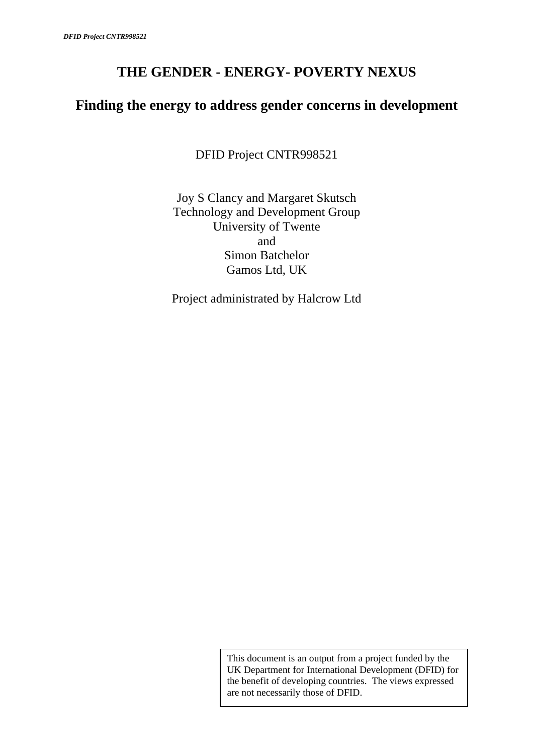# **THE GENDER - ENERGY- POVERTY NEXUS**

# **Finding the energy to address gender concerns in development**

DFID Project CNTR998521

Joy S Clancy and Margaret Skutsch Technology and Development Group University of Twente and Simon Batchelor Gamos Ltd, UK

Project administrated by Halcrow Ltd

This document is an output from a project funded by the UK Department for International Development (DFID) for the benefit of developing countries. The views expressed are not necessarily those of DFID.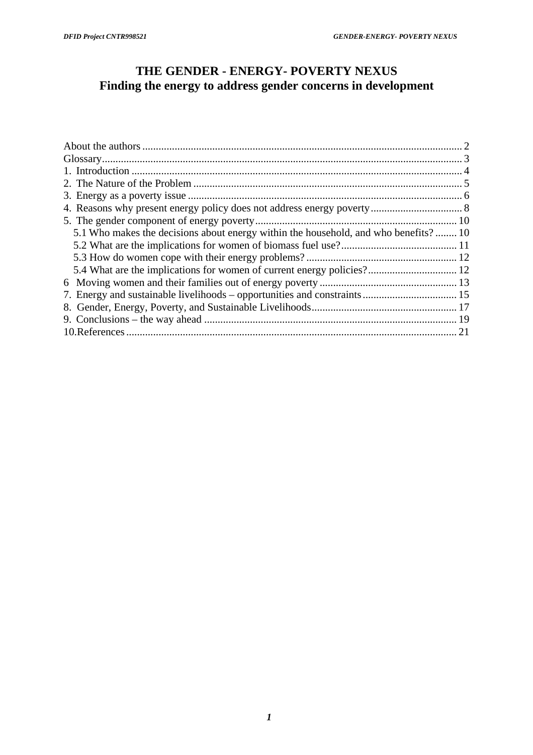# **THE GENDER - ENERGY- POVERTY NEXUS Finding the energy to address gender concerns in development**

| 5.1 Who makes the decisions about energy within the household, and who benefits? 10 |  |
|-------------------------------------------------------------------------------------|--|
|                                                                                     |  |
|                                                                                     |  |
| 5.4 What are the implications for women of current energy policies? 12              |  |
|                                                                                     |  |
|                                                                                     |  |
|                                                                                     |  |
|                                                                                     |  |
|                                                                                     |  |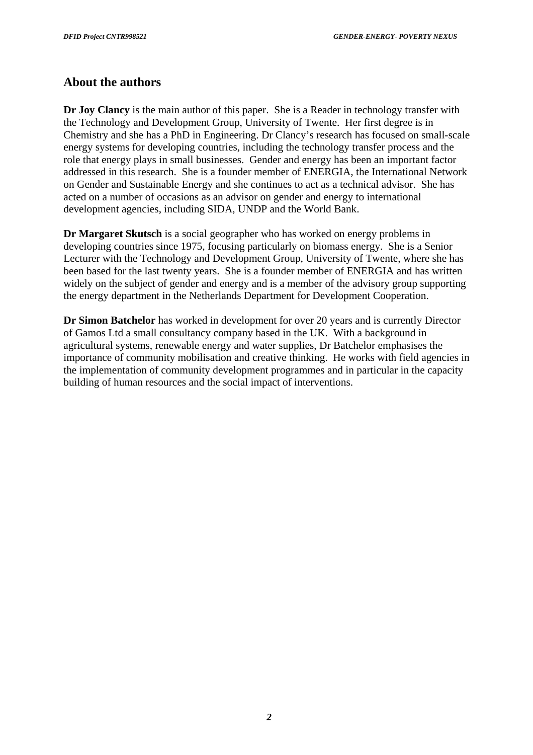## <span id="page-2-0"></span>**About the authors**

**Dr Joy Clancy** is the main author of this paper. She is a Reader in technology transfer with the Technology and Development Group, University of Twente. Her first degree is in Chemistry and she has a PhD in Engineering. Dr Clancy's research has focused on small-scale energy systems for developing countries, including the technology transfer process and the role that energy plays in small businesses. Gender and energy has been an important factor addressed in this research. She is a founder member of ENERGIA, the International Network on Gender and Sustainable Energy and she continues to act as a technical advisor. She has acted on a number of occasions as an advisor on gender and energy to international development agencies, including SIDA, UNDP and the World Bank.

**Dr Margaret Skutsch** is a social geographer who has worked on energy problems in developing countries since 1975, focusing particularly on biomass energy. She is a Senior Lecturer with the Technology and Development Group, University of Twente, where she has been based for the last twenty years. She is a founder member of ENERGIA and has written widely on the subject of gender and energy and is a member of the advisory group supporting the energy department in the Netherlands Department for Development Cooperation.

**Dr Simon Batchelor** has worked in development for over 20 years and is currently Director of Gamos Ltd a small consultancy company based in the UK. With a background in agricultural systems, renewable energy and water supplies, Dr Batchelor emphasises the importance of community mobilisation and creative thinking. He works with field agencies in the implementation of community development programmes and in particular in the capacity building of human resources and the social impact of interventions.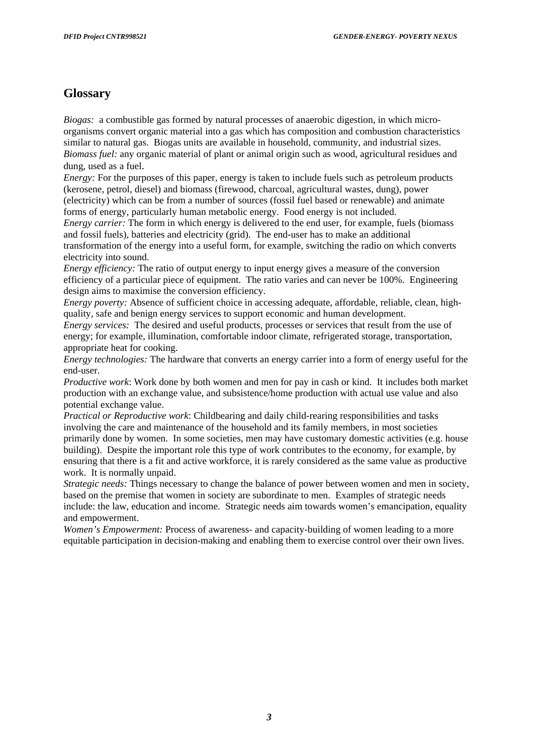# <span id="page-3-0"></span>**Glossary**

*Biogas:* a combustible gas formed by natural processes of anaerobic digestion, in which microorganisms convert organic material into a gas which has composition and combustion characteristics similar to natural gas. Biogas units are available in household, community, and industrial sizes. *Biomass fuel:* any organic material of plant or animal origin such as wood, agricultural residues and dung, used as a fuel.

*Energy:* For the purposes of this paper, energy is taken to include fuels such as petroleum products (kerosene, petrol, diesel) and biomass (firewood, charcoal, agricultural wastes, dung), power (electricity) which can be from a number of sources (fossil fuel based or renewable) and animate forms of energy, particularly human metabolic energy. Food energy is not included.

*Energy carrier:* The form in which energy is delivered to the end user, for example, fuels (biomass and fossil fuels), batteries and electricity (grid). The end-user has to make an additional transformation of the energy into a useful form, for example, switching the radio on which converts

electricity into sound.

*Energy efficiency:* The ratio of output energy to input energy gives a measure of the conversion efficiency of a particular piece of equipment. The ratio varies and can never be 100%. Engineering design aims to maximise the conversion efficiency.

*Energy poverty:* Absence of sufficient choice in accessing adequate, affordable, reliable, clean, highquality, safe and benign energy services to support economic and human development.

*Energy services:* The desired and useful products, processes or services that result from the use of energy; for example, illumination, comfortable indoor climate, refrigerated storage, transportation, appropriate heat for cooking.

*Energy technologies:* The hardware that converts an energy carrier into a form of energy useful for the end-user.

*Productive work*: Work done by both women and men for pay in cash or kind. It includes both market production with an exchange value, and subsistence/home production with actual use value and also potential exchange value.

*Practical or Reproductive work*: Childbearing and daily child-rearing responsibilities and tasks involving the care and maintenance of the household and its family members, in most societies primarily done by women. In some societies, men may have customary domestic activities (e.g. house building). Despite the important role this type of work contributes to the economy, for example, by ensuring that there is a fit and active workforce, it is rarely considered as the same value as productive work. It is normally unpaid.

*Strategic needs:* Things necessary to change the balance of power between women and men in society, based on the premise that women in society are subordinate to men. Examples of strategic needs include: the law, education and income. Strategic needs aim towards women's emancipation, equality and empowerment.

*Women's Empowerment:* Process of awareness- and capacity-building of women leading to a more equitable participation in decision-making and enabling them to exercise control over their own lives.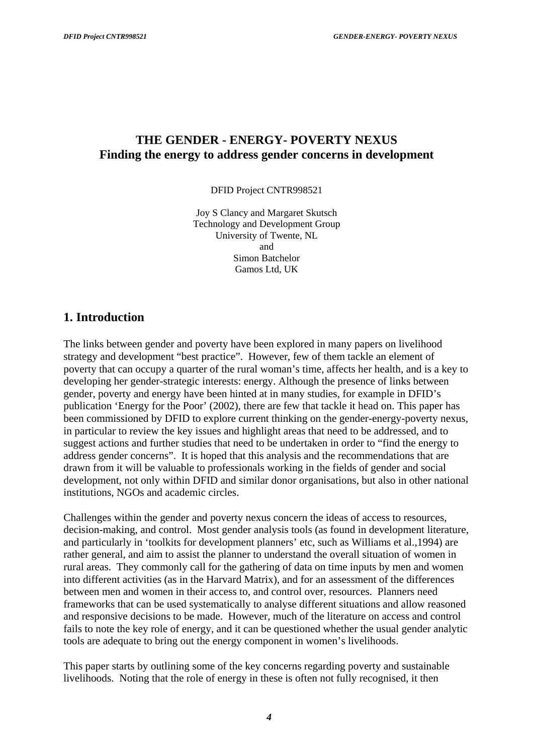## <span id="page-4-0"></span>**THE GENDER - ENERGY- POVERTY NEXUS Finding the energy to address gender concerns in development**

DFID Project CNTR998521

Joy S Clancy and Margaret Skutsch Technology and Development Group University of Twente, NL and Simon Batchelor Gamos Ltd, UK

#### **1. Introduction**

The links between gender and poverty have been explored in many papers on livelihood strategy and development "best practice". However, few of them tackle an element of poverty that can occupy a quarter of the rural woman's time, affects her health, and is a key to developing her gender-strategic interests: energy. Although the presence of links between gender, poverty and energy have been hinted at in many studies, for example in DFID's publication 'Energy for the Poor' (2002), there are few that tackle it head on. This paper has been commissioned by DFID to explore current thinking on the gender-energy-poverty nexus, in particular to review the key issues and highlight areas that need to be addressed, and to suggest actions and further studies that need to be undertaken in order to "find the energy to address gender concerns". It is hoped that this analysis and the recommendations that are drawn from it will be valuable to professionals working in the fields of gender and social development, not only within DFID and similar donor organisations, but also in other national institutions, NGOs and academic circles.

Challenges within the gender and poverty nexus concern the ideas of access to resources, decision-making, and control. Most gender analysis tools (as found in development literature, and particularly in 'toolkits for development planners' etc, such as Williams et al.,1994) are rather general, and aim to assist the planner to understand the overall situation of women in rural areas. They commonly call for the gathering of data on time inputs by men and women into different activities (as in the Harvard Matrix), and for an assessment of the differences between men and women in their access to, and control over, resources. Planners need frameworks that can be used systematically to analyse different situations and allow reasoned and responsive decisions to be made. However, much of the literature on access and control fails to note the key role of energy, and it can be questioned whether the usual gender analytic tools are adequate to bring out the energy component in women's livelihoods.

This paper starts by outlining some of the key concerns regarding poverty and sustainable livelihoods. Noting that the role of energy in these is often not fully recognised, it then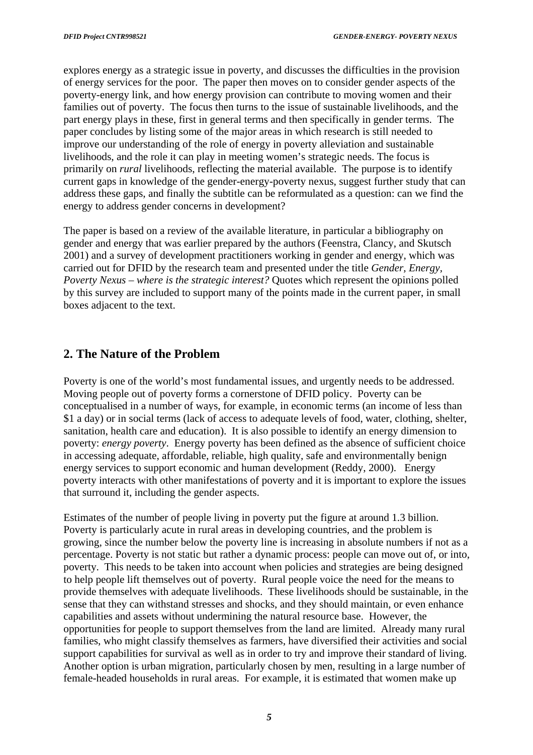<span id="page-5-0"></span>explores energy as a strategic issue in poverty, and discusses the difficulties in the provision of energy services for the poor. The paper then moves on to consider gender aspects of the poverty-energy link, and how energy provision can contribute to moving women and their families out of poverty. The focus then turns to the issue of sustainable livelihoods, and the part energy plays in these, first in general terms and then specifically in gender terms. The paper concludes by listing some of the major areas in which research is still needed to improve our understanding of the role of energy in poverty alleviation and sustainable livelihoods, and the role it can play in meeting women's strategic needs. The focus is primarily on *rural* livelihoods, reflecting the material available. The purpose is to identify current gaps in knowledge of the gender-energy-poverty nexus, suggest further study that can address these gaps, and finally the subtitle can be reformulated as a question: can we find the energy to address gender concerns in development?

The paper is based on a review of the available literature, in particular a bibliography on gender and energy that was earlier prepared by the authors (Feenstra, Clancy, and Skutsch 2001) and a survey of development practitioners working in gender and energy, which was carried out for DFID by the research team and presented under the title *Gender, Energy, Poverty Nexus – where is the strategic interest?* Quotes which represent the opinions polled by this survey are included to support many of the points made in the current paper, in small boxes adjacent to the text.

# **2. The Nature of the Problem**

Poverty is one of the world's most fundamental issues, and urgently needs to be addressed. Moving people out of poverty forms a cornerstone of DFID policy. Poverty can be conceptualised in a number of ways, for example, in economic terms (an income of less than \$1 a day) or in social terms (lack of access to adequate levels of food, water, clothing, shelter, sanitation, health care and education). It is also possible to identify an energy dimension to poverty: *energy poverty*. Energy poverty has been defined as the absence of sufficient choice in accessing adequate, affordable, reliable, high quality, safe and environmentally benign energy services to support economic and human development (Reddy, 2000). Energy poverty interacts with other manifestations of poverty and it is important to explore the issues that surround it, including the gender aspects.

Estimates of the number of people living in poverty put the figure at around 1.3 billion. Poverty is particularly acute in rural areas in developing countries, and the problem is growing, since the number below the poverty line is increasing in absolute numbers if not as a percentage. Poverty is not static but rather a dynamic process: people can move out of, or into, poverty. This needs to be taken into account when policies and strategies are being designed to help people lift themselves out of poverty. Rural people voice the need for the means to provide themselves with adequate livelihoods. These livelihoods should be sustainable, in the sense that they can withstand stresses and shocks, and they should maintain, or even enhance capabilities and assets without undermining the natural resource base. However, the opportunities for people to support themselves from the land are limited. Already many rural families, who might classify themselves as farmers, have diversified their activities and social support capabilities for survival as well as in order to try and improve their standard of living. Another option is urban migration, particularly chosen by men, resulting in a large number of female-headed households in rural areas. For example, it is estimated that women make up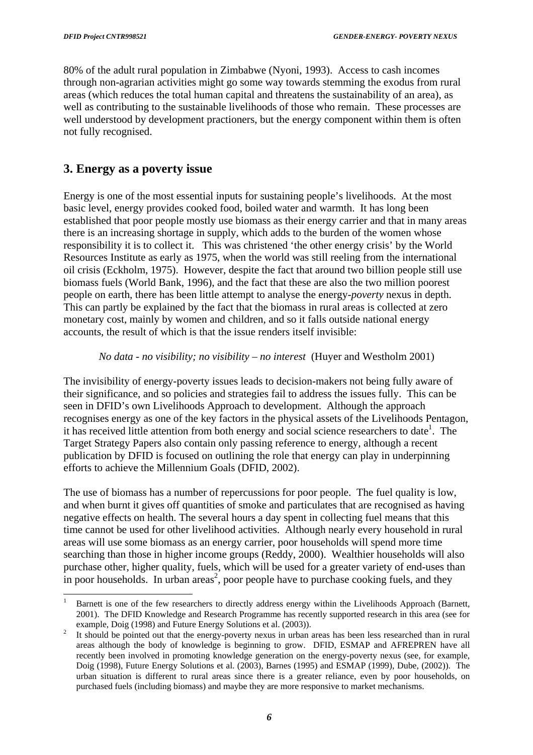l

<span id="page-6-0"></span>80% of the adult rural population in Zimbabwe (Nyoni, 1993). Access to cash incomes through non-agrarian activities might go some way towards stemming the exodus from rural areas (which reduces the total human capital and threatens the sustainability of an area), as well as contributing to the sustainable livelihoods of those who remain. These processes are well understood by development practioners, but the energy component within them is often not fully recognised.

## **3. Energy as a poverty issue**

Energy is one of the most essential inputs for sustaining people's livelihoods. At the most basic level, energy provides cooked food, boiled water and warmth. It has long been established that poor people mostly use biomass as their energy carrier and that in many areas there is an increasing shortage in supply, which adds to the burden of the women whose responsibility it is to collect it. This was christened 'the other energy crisis' by the World Resources Institute as early as 1975, when the world was still reeling from the international oil crisis (Eckholm, 1975). However, despite the fact that around two billion people still use biomass fuels (World Bank, 1996), and the fact that these are also the two million poorest people on earth, there has been little attempt to analyse the energy-*poverty* nexus in depth. This can partly be explained by the fact that the biomass in rural areas is collected at zero monetary cost, mainly by women and children, and so it falls outside national energy accounts, the result of which is that the issue renders itself invisible:

#### *No data - no visibility; no visibility – no interest* (Huyer and Westholm 2001)

The invisibility of energy-poverty issues leads to decision-makers not being fully aware of their significance, and so policies and strategies fail to address the issues fully. This can be seen in DFID's own Livelihoods Approach to development. Although the approach recognises energy as one of the key factors in the physical assets of the Livelihoods Pentagon, it has received little attention from both energy and social science researchers to date<sup>1</sup>. The Target Strategy Papers also contain only passing reference to energy, although a recent publication by DFID is focused on outlining the role that energy can play in underpinning efforts to achieve the Millennium Goals (DFID, 2002).

The use of biomass has a number of repercussions for poor people. The fuel quality is low, and when burnt it gives off quantities of smoke and particulates that are recognised as having negative effects on health. The several hours a day spent in collecting fuel means that this time cannot be used for other livelihood activities. Although nearly every household in rural areas will use some biomass as an energy carrier, poor households will spend more time searching than those in higher income groups (Reddy, 2000). Wealthier households will also purchase other, higher quality, fuels, which will be used for a greater variety of end-uses than in poor households. In urban areas<sup>2</sup>, poor people have to purchase cooking fuels, and they

<span id="page-6-1"></span><sup>1</sup> Barnett is one of the few researchers to directly address energy within the Livelihoods Approach (Barnett, 2001). The DFID Knowledge and Research Programme has recently supported research in this area (see for example, Doig (1998) and Future Energy Solutions et al. (2003)).<br>It should be pointed out that the energy-poverty nexus in urban areas has been less researched than in rural

<span id="page-6-2"></span>areas although the body of knowledge is beginning to grow. DFID, ESMAP and AFREPREN have all recently been involved in promoting knowledge generation on the energy-poverty nexus (see, for example, Doig (1998), Future Energy Solutions et al. (2003), Barnes (1995) and ESMAP (1999), Dube, (2002)). The urban situation is different to rural areas since there is a greater reliance, even by poor households, on purchased fuels (including biomass) and maybe they are more responsive to market mechanisms.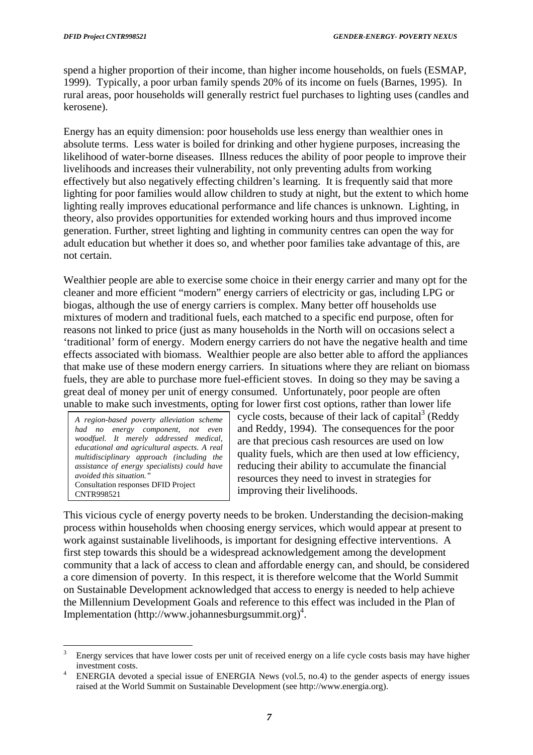spend a higher proportion of their income, than higher income households, on fuels (ESMAP, 1999). Typically, a poor urban family spends 20% of its income on fuels (Barnes, 1995). In rural areas, poor households will generally restrict fuel purchases to lighting uses (candles and kerosene).

Energy has an equity dimension: poor households use less energy than wealthier ones in absolute terms. Less water is boiled for drinking and other hygiene purposes, increasing the likelihood of water-borne diseases. Illness reduces the ability of poor people to improve their livelihoods and increases their vulnerability, not only preventing adults from working effectively but also negatively effecting children's learning. It is frequently said that more lighting for poor families would allow children to study at night, but the extent to which home lighting really improves educational performance and life chances is unknown. Lighting, in theory, also provides opportunities for extended working hours and thus improved income generation. Further, street lighting and lighting in community centres can open the way for adult education but whether it does so, and whether poor families take advantage of this, are not certain.

Wealthier people are able to exercise some choice in their energy carrier and many opt for the cleaner and more efficient "modern" energy carriers of electricity or gas, including LPG or biogas, although the use of energy carriers is complex. Many better off households use mixtures of modern and traditional fuels, each matched to a specific end purpose, often for reasons not linked to price (just as many households in the North will on occasions select a 'traditional' form of energy. Modern energy carriers do not have the negative health and time effects associated with biomass. Wealthier people are also better able to afford the appliances that make use of these modern energy carriers. In situations where they are reliant on biomass fuels, they are able to purchase more fuel-efficient stoves. In doing so they may be saving a great deal of money per unit of energy consumed. Unfortunately, poor people are often unable to make such investments, opting for lower first cost options, rather than lower life

*A region-based poverty alleviation scheme had no energy component, not even woodfuel. It merely addressed medical, educational and agricultural aspects. A real multidisciplinary approach (including the assistance of energy specialists) could have avoided this situation."*  Consultation responses DFID Project CNTR998521

cycle costs, because of their lack of capital $3$  (Reddy and Reddy, 1994). The consequences for the poor are that precious cash resources are used on low quality fuels, which are then used at low efficiency, reducing their ability to accumulate the financial resources they need to invest in strategies for improving their livelihoods.

This vicious cycle of energy poverty needs to be broken. Understanding the decision-making process within households when choosing energy services, which would appear at present to work against sustainable livelihoods, is important for designing effective interventions. A first step towards this should be a widespread acknowledgement among the development community that a lack of access to clean and affordable energy can, and should, be considered a core dimension of poverty*.* In this respect, it is therefore welcome that the World Summit on Sustainable Development acknowledged that access to energy is needed to help achieve the Millennium Development Goals and reference to this effect was included in the Plan of Implementation (http://www.johannesburgsummit.org)<sup>4</sup>.

<span id="page-7-0"></span> $\overline{3}$ <sup>3</sup> Energy services that have lower costs per unit of received energy on a life cycle costs basis may have higher

<span id="page-7-1"></span>investment costs.<br>ENERGIA devoted a special issue of ENERGIA News (vol.5, no.4) to the gender aspects of energy issues raised at the World Summit on Sustainable Development (see http://www.energia.org).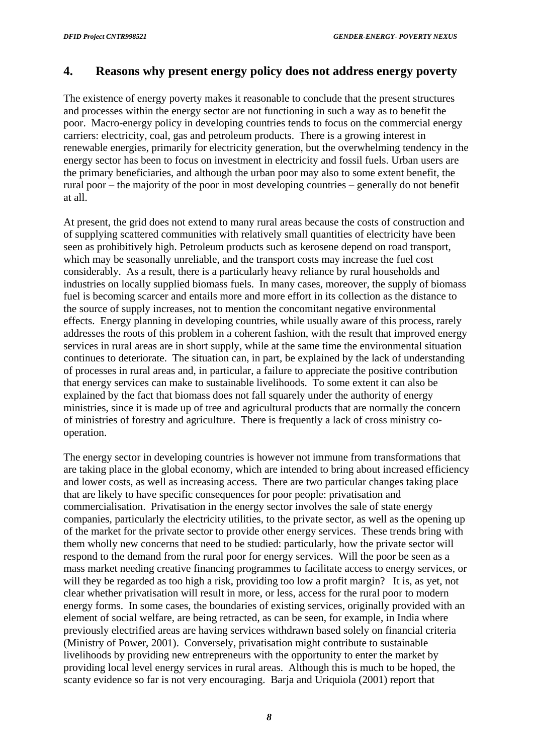## <span id="page-8-0"></span>**4. Reasons why present energy policy does not address energy poverty**

The existence of energy poverty makes it reasonable to conclude that the present structures and processes within the energy sector are not functioning in such a way as to benefit the poor. Macro-energy policy in developing countries tends to focus on the commercial energy carriers: electricity, coal, gas and petroleum products. There is a growing interest in renewable energies, primarily for electricity generation, but the overwhelming tendency in the energy sector has been to focus on investment in electricity and fossil fuels. Urban users are the primary beneficiaries, and although the urban poor may also to some extent benefit, the rural poor – the majority of the poor in most developing countries – generally do not benefit at all.

At present, the grid does not extend to many rural areas because the costs of construction and of supplying scattered communities with relatively small quantities of electricity have been seen as prohibitively high. Petroleum products such as kerosene depend on road transport, which may be seasonally unreliable, and the transport costs may increase the fuel cost considerably. As a result, there is a particularly heavy reliance by rural households and industries on locally supplied biomass fuels. In many cases, moreover, the supply of biomass fuel is becoming scarcer and entails more and more effort in its collection as the distance to the source of supply increases, not to mention the concomitant negative environmental effects. Energy planning in developing countries, while usually aware of this process, rarely addresses the roots of this problem in a coherent fashion, with the result that improved energy services in rural areas are in short supply, while at the same time the environmental situation continues to deteriorate. The situation can, in part, be explained by the lack of understanding of processes in rural areas and, in particular, a failure to appreciate the positive contribution that energy services can make to sustainable livelihoods. To some extent it can also be explained by the fact that biomass does not fall squarely under the authority of energy ministries, since it is made up of tree and agricultural products that are normally the concern of ministries of forestry and agriculture. There is frequently a lack of cross ministry cooperation.

The energy sector in developing countries is however not immune from transformations that are taking place in the global economy, which are intended to bring about increased efficiency and lower costs, as well as increasing access. There are two particular changes taking place that are likely to have specific consequences for poor people: privatisation and commercialisation. Privatisation in the energy sector involves the sale of state energy companies, particularly the electricity utilities, to the private sector, as well as the opening up of the market for the private sector to provide other energy services. These trends bring with them wholly new concerns that need to be studied: particularly, how the private sector will respond to the demand from the rural poor for energy services. Will the poor be seen as a mass market needing creative financing programmes to facilitate access to energy services, or will they be regarded as too high a risk, providing too low a profit margin? It is, as yet, not clear whether privatisation will result in more, or less, access for the rural poor to modern energy forms. In some cases, the boundaries of existing services, originally provided with an element of social welfare, are being retracted, as can be seen, for example, in India where previously electrified areas are having services withdrawn based solely on financial criteria (Ministry of Power, 2001). Conversely, privatisation might contribute to sustainable livelihoods by providing new entrepreneurs with the opportunity to enter the market by providing local level energy services in rural areas. Although this is much to be hoped, the scanty evidence so far is not very encouraging. Barja and Uriquiola (2001) report that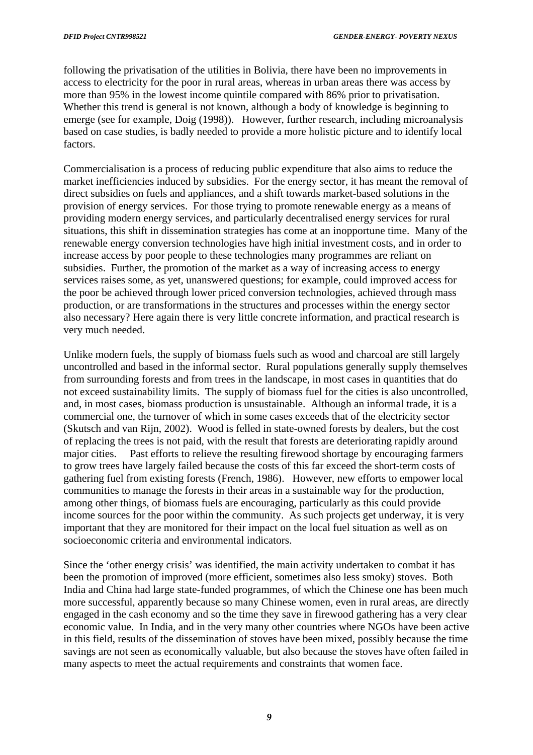following the privatisation of the utilities in Bolivia, there have been no improvements in access to electricity for the poor in rural areas, whereas in urban areas there was access by more than 95% in the lowest income quintile compared with 86% prior to privatisation. Whether this trend is general is not known, although a body of knowledge is beginning to emerge (see for example, Doig (1998)). However, further research, including microanalysis based on case studies, is badly needed to provide a more holistic picture and to identify local factors.

Commercialisation is a process of reducing public expenditure that also aims to reduce the market inefficiencies induced by subsidies. For the energy sector, it has meant the removal of direct subsidies on fuels and appliances, and a shift towards market-based solutions in the provision of energy services. For those trying to promote renewable energy as a means of providing modern energy services, and particularly decentralised energy services for rural situations, this shift in dissemination strategies has come at an inopportune time. Many of the renewable energy conversion technologies have high initial investment costs, and in order to increase access by poor people to these technologies many programmes are reliant on subsidies. Further, the promotion of the market as a way of increasing access to energy services raises some, as yet, unanswered questions; for example, could improved access for the poor be achieved through lower priced conversion technologies, achieved through mass production, or are transformations in the structures and processes within the energy sector also necessary? Here again there is very little concrete information, and practical research is very much needed.

Unlike modern fuels, the supply of biomass fuels such as wood and charcoal are still largely uncontrolled and based in the informal sector. Rural populations generally supply themselves from surrounding forests and from trees in the landscape, in most cases in quantities that do not exceed sustainability limits. The supply of biomass fuel for the cities is also uncontrolled, and, in most cases, biomass production is unsustainable. Although an informal trade, it is a commercial one, the turnover of which in some cases exceeds that of the electricity sector (Skutsch and van Rijn, 2002). Wood is felled in state-owned forests by dealers, but the cost of replacing the trees is not paid, with the result that forests are deteriorating rapidly around major cities. Past efforts to relieve the resulting firewood shortage by encouraging farmers to grow trees have largely failed because the costs of this far exceed the short-term costs of gathering fuel from existing forests (French, 1986). However, new efforts to empower local communities to manage the forests in their areas in a sustainable way for the production, among other things, of biomass fuels are encouraging, particularly as this could provide income sources for the poor within the community. As such projects get underway, it is very important that they are monitored for their impact on the local fuel situation as well as on socioeconomic criteria and environmental indicators.

Since the 'other energy crisis' was identified, the main activity undertaken to combat it has been the promotion of improved (more efficient, sometimes also less smoky) stoves. Both India and China had large state-funded programmes, of which the Chinese one has been much more successful, apparently because so many Chinese women, even in rural areas, are directly engaged in the cash economy and so the time they save in firewood gathering has a very clear economic value. In India, and in the very many other countries where NGOs have been active in this field, results of the dissemination of stoves have been mixed, possibly because the time savings are not seen as economically valuable, but also because the stoves have often failed in many aspects to meet the actual requirements and constraints that women face.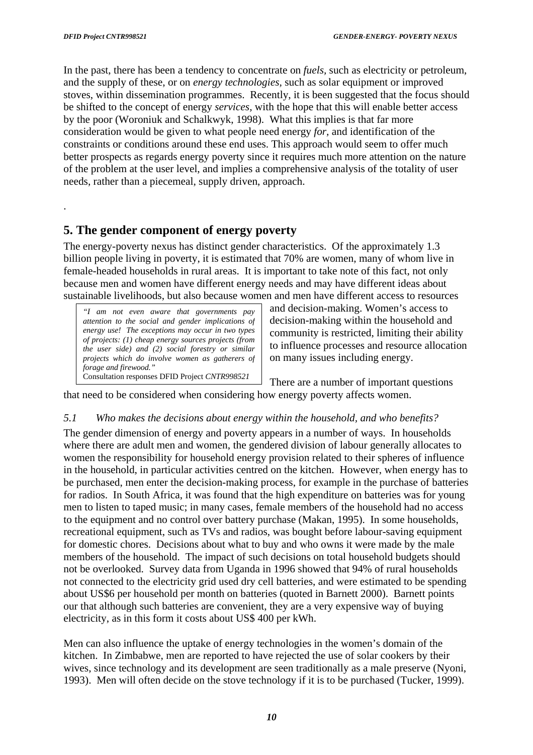.

<span id="page-10-0"></span>In the past, there has been a tendency to concentrate on *fuels,* such as electricity or petroleum, and the supply of these, or on *energy technologies,* such as solar equipment or improved stoves, within dissemination programmes. Recently, it is been suggested that the focus should be shifted to the concept of energy *services,* with the hope that this will enable better access by the poor (Woroniuk and Schalkwyk, 1998). What this implies is that far more consideration would be given to what people need energy *for,* and identification of the constraints or conditions around these end uses. This approach would seem to offer much better prospects as regards energy poverty since it requires much more attention on the nature of the problem at the user level, and implies a comprehensive analysis of the totality of user needs, rather than a piecemeal, supply driven, approach.

## **5. The gender component of energy poverty**

The energy-poverty nexus has distinct gender characteristics. Of the approximately 1.3 billion people living in poverty, it is estimated that 70% are women, many of whom live in female-headed households in rural areas. It is important to take note of this fact, not only because men and women have different energy needs and may have different ideas about sustainable livelihoods, but also because women and men have different access to resources

*"I am not even aware that governments pay attention to the social and gender implications of energy use! The exceptions may occur in two types of projects: (1) cheap energy sources projects (from the user side) and (2) social forestry or similar projects which do involve women as gatherers of forage and firewood."*  Consultation responses DFID Project *CNTR998521*

and decision-making. Women's access to decision-making within the household and community is restricted, limiting their ability to influence processes and resource allocation on many issues including energy.

There are a number of important questions that need to be considered when considering how energy poverty affects women.

#### *5.1 Who makes the decisions about energy within the household, and who benefits?*

The gender dimension of energy and poverty appears in a number of ways. In households where there are adult men and women, the gendered division of labour generally allocates to women the responsibility for household energy provision related to their spheres of influence in the household, in particular activities centred on the kitchen. However, when energy has to be purchased, men enter the decision-making process, for example in the purchase of batteries for radios. In South Africa, it was found that the high expenditure on batteries was for young men to listen to taped music; in many cases, female members of the household had no access to the equipment and no control over battery purchase (Makan, 1995). In some households, recreational equipment, such as TVs and radios, was bought before labour-saving equipment for domestic chores. Decisions about what to buy and who owns it were made by the male members of the household. The impact of such decisions on total household budgets should not be overlooked. Survey data from Uganda in 1996 showed that 94% of rural households not connected to the electricity grid used dry cell batteries, and were estimated to be spending about US\$6 per household per month on batteries (quoted in Barnett 2000). Barnett points our that although such batteries are convenient, they are a very expensive way of buying electricity, as in this form it costs about US\$ 400 per kWh.

Men can also influence the uptake of energy technologies in the women's domain of the kitchen. In Zimbabwe, men are reported to have rejected the use of solar cookers by their wives, since technology and its development are seen traditionally as a male preserve (Nyoni, 1993). Men will often decide on the stove technology if it is to be purchased (Tucker, 1999).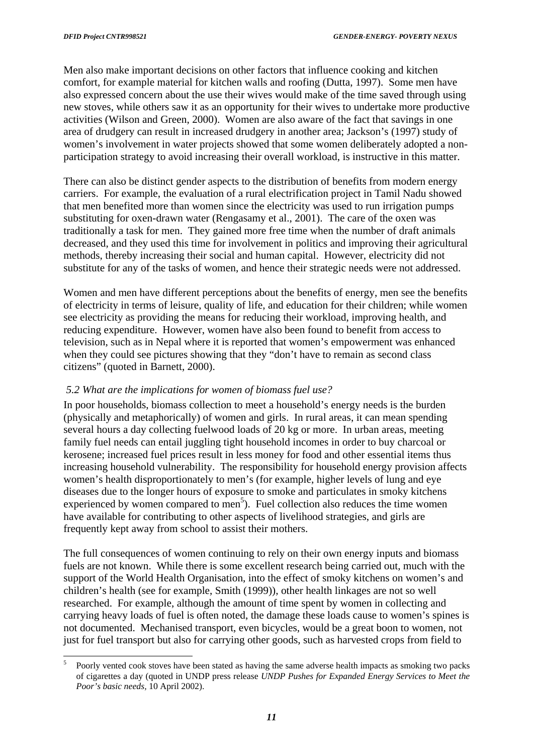l

<span id="page-11-0"></span>Men also make important decisions on other factors that influence cooking and kitchen comfort, for example material for kitchen walls and roofing (Dutta, 1997). Some men have also expressed concern about the use their wives would make of the time saved through using new stoves, while others saw it as an opportunity for their wives to undertake more productive activities (Wilson and Green, 2000). Women are also aware of the fact that savings in one area of drudgery can result in increased drudgery in another area; Jackson's (1997) study of women's involvement in water projects showed that some women deliberately adopted a nonparticipation strategy to avoid increasing their overall workload, is instructive in this matter.

There can also be distinct gender aspects to the distribution of benefits from modern energy carriers. For example, the evaluation of a rural electrification project in Tamil Nadu showed that men benefited more than women since the electricity was used to run irrigation pumps substituting for oxen-drawn water (Rengasamy et al., 2001). The care of the oxen was traditionally a task for men. They gained more free time when the number of draft animals decreased, and they used this time for involvement in politics and improving their agricultural methods, thereby increasing their social and human capital. However, electricity did not substitute for any of the tasks of women, and hence their strategic needs were not addressed.

Women and men have different perceptions about the benefits of energy, men see the benefits of electricity in terms of leisure, quality of life, and education for their children; while women see electricity as providing the means for reducing their workload, improving health, and reducing expenditure. However, women have also been found to benefit from access to television, such as in Nepal where it is reported that women's empowerment was enhanced when they could see pictures showing that they "don't have to remain as second class citizens" (quoted in Barnett, 2000).

#### *5.2 What are the implications for women of biomass fuel use?*

In poor households, biomass collection to meet a household's energy needs is the burden (physically and metaphorically) of women and girls. In rural areas, it can mean spending several hours a day collecting fuelwood loads of 20 kg or more. In urban areas, meeting family fuel needs can entail juggling tight household incomes in order to buy charcoal or kerosene; increased fuel prices result in less money for food and other essential items thus increasing household vulnerability. The responsibility for household energy provision affects women's health disproportionately to men's (for example, higher levels of lung and eye diseases due to the longer hours of exposure to smoke and particulates in smoky kitchens experienced by women compared to men<sup>[5](#page-11-1)</sup>). Fuel collection also reduces the time women have available for contributing to other aspects of livelihood strategies, and girls are frequently kept away from school to assist their mothers.

The full consequences of women continuing to rely on their own energy inputs and biomass fuels are not known. While there is some excellent research being carried out, much with the support of the World Health Organisation, into the effect of smoky kitchens on women's and children's health (see for example, Smith (1999)), other health linkages are not so well researched. For example, although the amount of time spent by women in collecting and carrying heavy loads of fuel is often noted, the damage these loads cause to women's spines is not documented. Mechanised transport, even bicycles, would be a great boon to women, not just for fuel transport but also for carrying other goods, such as harvested crops from field to

<span id="page-11-1"></span><sup>5</sup> Poorly vented cook stoves have been stated as having the same adverse health impacts as smoking two packs of cigarettes a day (quoted in UNDP press release *UNDP Pushes for Expanded Energy Services to Meet the Poor's basic needs,* 10 April 2002).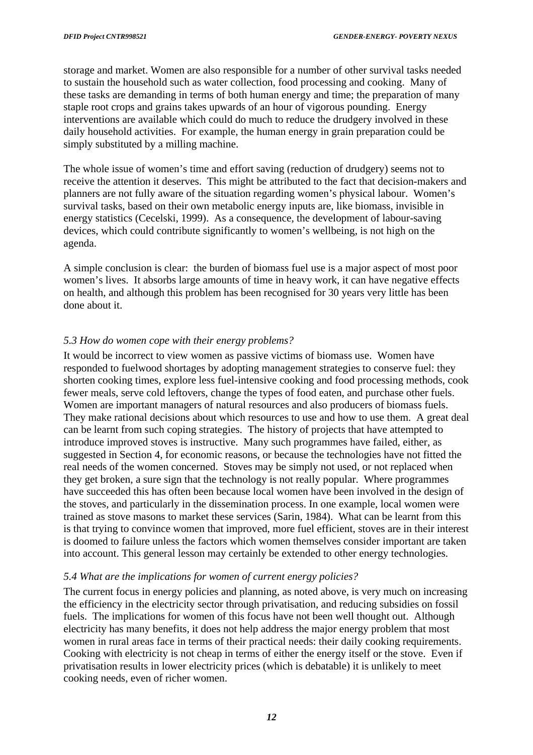<span id="page-12-0"></span>storage and market. Women are also responsible for a number of other survival tasks needed to sustain the household such as water collection, food processing and cooking. Many of these tasks are demanding in terms of both human energy and time; the preparation of many staple root crops and grains takes upwards of an hour of vigorous pounding. Energy interventions are available which could do much to reduce the drudgery involved in these daily household activities. For example, the human energy in grain preparation could be simply substituted by a milling machine.

The whole issue of women's time and effort saving (reduction of drudgery) seems not to receive the attention it deserves. This might be attributed to the fact that decision-makers and planners are not fully aware of the situation regarding women's physical labour. Women's survival tasks, based on their own metabolic energy inputs are, like biomass, invisible in energy statistics (Cecelski, 1999). As a consequence, the development of labour-saving devices, which could contribute significantly to women's wellbeing, is not high on the agenda.

A simple conclusion is clear: the burden of biomass fuel use is a major aspect of most poor women's lives. It absorbs large amounts of time in heavy work, it can have negative effects on health, and although this problem has been recognised for 30 years very little has been done about it.

#### *5.3 How do women cope with their energy problems?*

It would be incorrect to view women as passive victims of biomass use. Women have responded to fuelwood shortages by adopting management strategies to conserve fuel: they shorten cooking times, explore less fuel-intensive cooking and food processing methods, cook fewer meals, serve cold leftovers, change the types of food eaten, and purchase other fuels. Women are important managers of natural resources and also producers of biomass fuels. They make rational decisions about which resources to use and how to use them. A great deal can be learnt from such coping strategies. The history of projects that have attempted to introduce improved stoves is instructive. Many such programmes have failed, either, as suggested in Section 4, for economic reasons, or because the technologies have not fitted the real needs of the women concerned. Stoves may be simply not used, or not replaced when they get broken, a sure sign that the technology is not really popular. Where programmes have succeeded this has often been because local women have been involved in the design of the stoves, and particularly in the dissemination process. In one example, local women were trained as stove masons to market these services (Sarin, 1984). What can be learnt from this is that trying to convince women that improved, more fuel efficient, stoves are in their interest is doomed to failure unless the factors which women themselves consider important are taken into account. This general lesson may certainly be extended to other energy technologies.

#### *5.4 What are the implications for women of current energy policies?*

The current focus in energy policies and planning, as noted above, is very much on increasing the efficiency in the electricity sector through privatisation, and reducing subsidies on fossil fuels. The implications for women of this focus have not been well thought out. Although electricity has many benefits, it does not help address the major energy problem that most women in rural areas face in terms of their practical needs: their daily cooking requirements. Cooking with electricity is not cheap in terms of either the energy itself or the stove. Even if privatisation results in lower electricity prices (which is debatable) it is unlikely to meet cooking needs, even of richer women.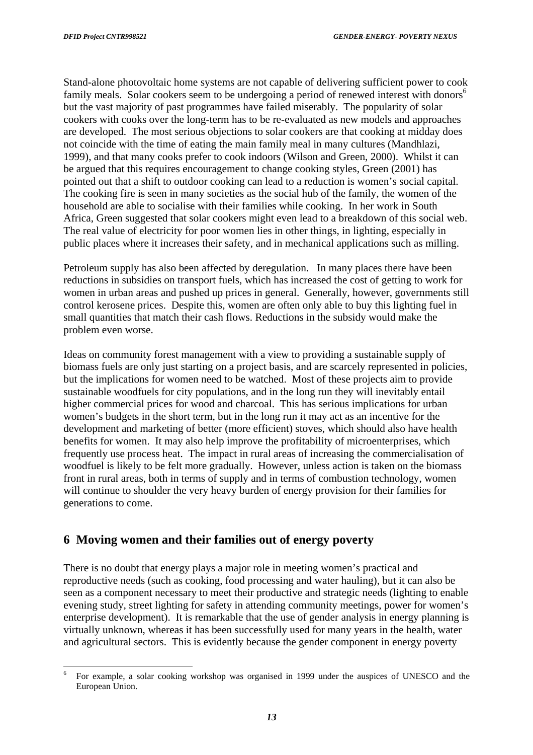<span id="page-13-0"></span>Stand-alone photovoltaic home systems are not capable of delivering sufficient power to cook family meals. Solar cookers seem to be undergoing a period of renewed interest with donors<sup>[6](#page-13-1)</sup> but the vast majority of past programmes have failed miserably. The popularity of solar cookers with cooks over the long-term has to be re-evaluated as new models and approaches are developed. The most serious objections to solar cookers are that cooking at midday does not coincide with the time of eating the main family meal in many cultures (Mandhlazi, 1999), and that many cooks prefer to cook indoors (Wilson and Green, 2000). Whilst it can be argued that this requires encouragement to change cooking styles, Green (2001) has pointed out that a shift to outdoor cooking can lead to a reduction is women's social capital. The cooking fire is seen in many societies as the social hub of the family, the women of the household are able to socialise with their families while cooking. In her work in South Africa, Green suggested that solar cookers might even lead to a breakdown of this social web. The real value of electricity for poor women lies in other things, in lighting, especially in public places where it increases their safety, and in mechanical applications such as milling.

Petroleum supply has also been affected by deregulation. In many places there have been reductions in subsidies on transport fuels, which has increased the cost of getting to work for women in urban areas and pushed up prices in general. Generally, however, governments still control kerosene prices. Despite this, women are often only able to buy this lighting fuel in small quantities that match their cash flows. Reductions in the subsidy would make the problem even worse.

Ideas on community forest management with a view to providing a sustainable supply of biomass fuels are only just starting on a project basis, and are scarcely represented in policies, but the implications for women need to be watched. Most of these projects aim to provide sustainable woodfuels for city populations, and in the long run they will inevitably entail higher commercial prices for wood and charcoal. This has serious implications for urban women's budgets in the short term, but in the long run it may act as an incentive for the development and marketing of better (more efficient) stoves, which should also have health benefits for women. It may also help improve the profitability of microenterprises, which frequently use process heat. The impact in rural areas of increasing the commercialisation of woodfuel is likely to be felt more gradually. However, unless action is taken on the biomass front in rural areas, both in terms of supply and in terms of combustion technology, women will continue to shoulder the very heavy burden of energy provision for their families for generations to come.

### **6 Moving women and their families out of energy poverty**

There is no doubt that energy plays a major role in meeting women's practical and reproductive needs (such as cooking, food processing and water hauling), but it can also be seen as a component necessary to meet their productive and strategic needs (lighting to enable evening study, street lighting for safety in attending community meetings, power for women's enterprise development). It is remarkable that the use of gender analysis in energy planning is virtually unknown, whereas it has been successfully used for many years in the health, water and agricultural sectors. This is evidently because the gender component in energy poverty

<span id="page-13-1"></span> $6\phantom{a}6$ <sup>6</sup> For example, a solar cooking workshop was organised in 1999 under the auspices of UNESCO and the European Union.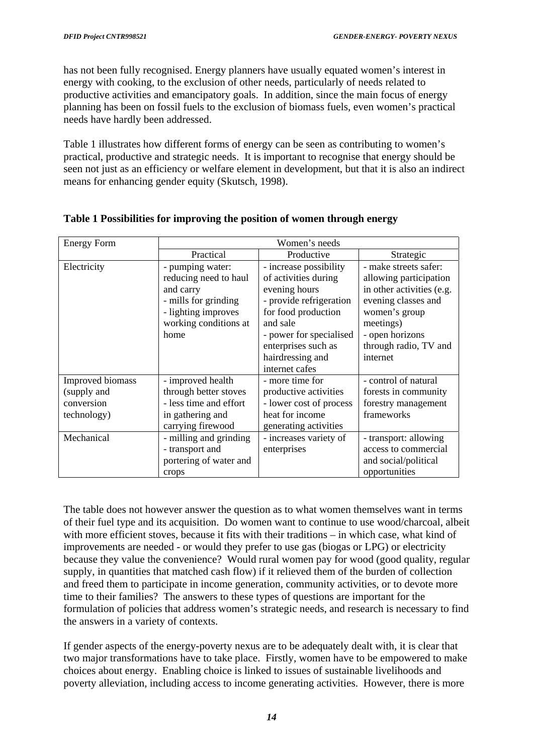has not been fully recognised. Energy planners have usually equated women's interest in energy with cooking, to the exclusion of other needs, particularly of needs related to productive activities and emancipatory goals. In addition, since the main focus of energy planning has been on fossil fuels to the exclusion of biomass fuels, even women's practical needs have hardly been addressed.

Table 1 illustrates how different forms of energy can be seen as contributing to women's practical, productive and strategic needs. It is important to recognise that energy should be seen not just as an efficiency or welfare element in development, but that it is also an indirect means for enhancing gender equity (Skutsch, 1998).

| <b>Energy Form</b> | Women's needs          |                         |                           |  |
|--------------------|------------------------|-------------------------|---------------------------|--|
|                    | Practical              | Productive              | Strategic                 |  |
| Electricity        | - pumping water:       | - increase possibility  | - make streets safer:     |  |
|                    | reducing need to haul  | of activities during    | allowing participation    |  |
|                    | and carry              | evening hours           | in other activities (e.g. |  |
|                    | - mills for grinding   | - provide refrigeration | evening classes and       |  |
|                    | - lighting improves    | for food production     | women's group             |  |
|                    | working conditions at  | and sale                | meetings)                 |  |
|                    | home                   | - power for specialised | - open horizons           |  |
|                    |                        | enterprises such as     | through radio, TV and     |  |
|                    |                        | hairdressing and        | internet                  |  |
|                    |                        | internet cafes          |                           |  |
| Improved biomass   | - improved health      | - more time for         | - control of natural      |  |
| (supply and        | through better stoves  | productive activities   | forests in community      |  |
| conversion         | - less time and effort | - lower cost of process | forestry management       |  |
| technology)        | in gathering and       | heat for income         | frameworks                |  |
|                    | carrying firewood      | generating activities   |                           |  |
| Mechanical         | - milling and grinding | - increases variety of  | - transport: allowing     |  |
|                    | - transport and        | enterprises             | access to commercial      |  |
|                    | portering of water and |                         | and social/political      |  |
|                    | crops                  |                         | opportunities             |  |

#### **Table 1 Possibilities for improving the position of women through energy**

The table does not however answer the question as to what women themselves want in terms of their fuel type and its acquisition. Do women want to continue to use wood/charcoal, albeit with more efficient stoves, because it fits with their traditions – in which case, what kind of improvements are needed - or would they prefer to use gas (biogas or LPG) or electricity because they value the convenience? Would rural women pay for wood (good quality, regular supply, in quantities that matched cash flow) if it relieved them of the burden of collection and freed them to participate in income generation, community activities, or to devote more time to their families? The answers to these types of questions are important for the formulation of policies that address women's strategic needs, and research is necessary to find the answers in a variety of contexts.

If gender aspects of the energy-poverty nexus are to be adequately dealt with, it is clear that two major transformations have to take place. Firstly, women have to be empowered to make choices about energy. Enabling choice is linked to issues of sustainable livelihoods and poverty alleviation, including access to income generating activities. However, there is more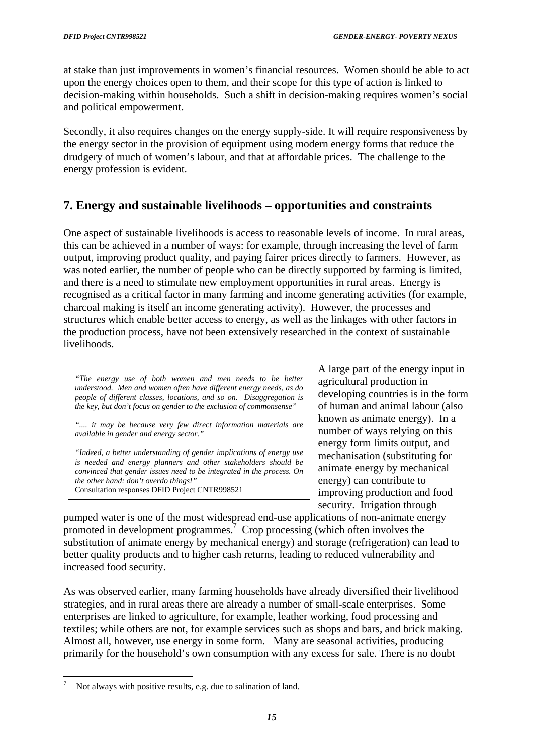<span id="page-15-0"></span>at stake than just improvements in women's financial resources. Women should be able to act upon the energy choices open to them, and their scope for this type of action is linked to decision-making within households. Such a shift in decision-making requires women's social and political empowerment.

Secondly, it also requires changes on the energy supply-side. It will require responsiveness by the energy sector in the provision of equipment using modern energy forms that reduce the drudgery of much of women's labour, and that at affordable prices. The challenge to the energy profession is evident.

# **7. Energy and sustainable livelihoods – opportunities and constraints**

One aspect of sustainable livelihoods is access to reasonable levels of income. In rural areas, this can be achieved in a number of ways: for example, through increasing the level of farm output, improving product quality, and paying fairer prices directly to farmers. However, as was noted earlier, the number of people who can be directly supported by farming is limited, and there is a need to stimulate new employment opportunities in rural areas. Energy is recognised as a critical factor in many farming and income generating activities (for example, charcoal making is itself an income generating activity). However, the processes and structures which enable better access to energy, as well as the linkages with other factors in the production process, have not been extensively researched in the context of sustainable livelihoods.

*"The energy use of both women and men needs to be better understood. Men and women often have different energy needs, as do people of different classes, locations, and so on. Disaggregation is the key, but don't focus on gender to the exclusion of commonsense"*

*".... it may be because very few direct information materials are available in gender and energy sector."* 

*"Indeed, a better understanding of gender implications of energy use is needed and energy planners and other stakeholders should be convinced that gender issues need to be integrated in the process. On the other hand: don't overdo things!"* Consultation responses DFID Project CNTR998521

A large part of the energy input in agricultural production in developing countries is in the form of human and animal labour (also known as animate energy). In a number of ways relying on this energy form limits output, and mechanisation (substituting for animate energy by mechanical energy) can contribute to improving production and food security. Irrigation through

pumped water is one of the most widespread end-use applications of non-animate energy promoted in development programmes.<sup> $\frac{7}{1}$ </sup> Crop processing (which often involves the substitution of animate energy by mechanical energy) and storage (refrigeration) can lead to better quality products and to higher cash returns, leading to reduced vulnerability and increased food security.

As was observed earlier, many farming households have already diversified their livelihood strategies, and in rural areas there are already a number of small-scale enterprises. Some enterprises are linked to agriculture, for example, leather working, food processing and textiles; while others are not, for example services such as shops and bars, and brick making. Almost all, however, use energy in some form. Many are seasonal activities, producing primarily for the household's own consumption with any excess for sale. There is no doubt

l

<span id="page-15-1"></span><sup>7</sup> Not always with positive results, e.g. due to salination of land.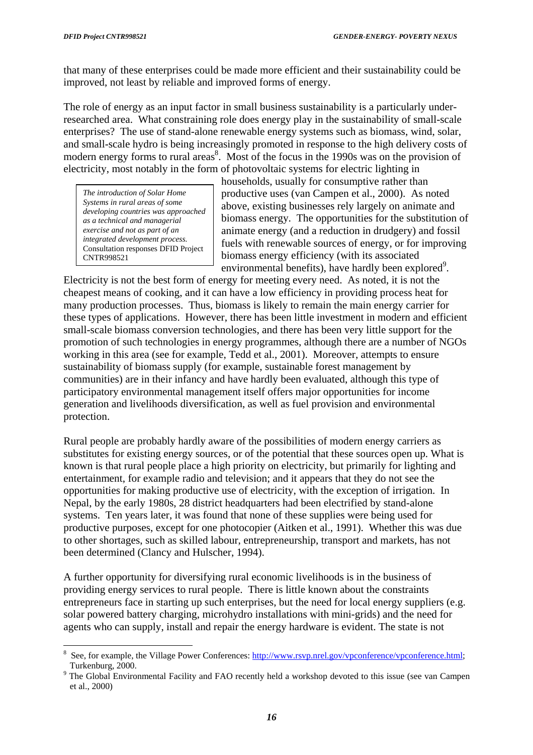l

that many of these enterprises could be made more efficient and their sustainability could be improved, not least by reliable and improved forms of energy.

The role of energy as an input factor in small business sustainability is a particularly underresearched area. What constraining role does energy play in the sustainability of small-scale enterprises? The use of stand-alone renewable energy systems such as biomass, wind, solar, and small-scale hydro is being increasingly promoted in response to the high delivery costs of modern energy forms to rural areas<sup>[8](#page-16-0)</sup>. Most of the focus in the 1990s was on the provision of electricity, most notably in the form of photovoltaic systems for electric lighting in

*The introduction of Solar Home Systems in rural areas of some developing countries was approached as a technical and managerial exercise and not as part of an integrated development process.*  Consultation responses DFID Project CNTR998521

households, usually for consumptive rather than productive uses (van Campen et al., 2000). As noted above, existing businesses rely largely on animate and biomass energy. The opportunities for the substitution of animate energy (and a reduction in drudgery) and fossil fuels with renewable sources of energy, or for improving biomass energy efficiency (with its associated environmental benefits), have hardly been explored<sup>[9](#page-16-1)</sup>.

Electricity is not the best form of energy for meeting every need. As noted, it is not the cheapest means of cooking, and it can have a low efficiency in providing process heat for many production processes. Thus, biomass is likely to remain the main energy carrier for these types of applications. However, there has been little investment in modern and efficient small-scale biomass conversion technologies, and there has been very little support for the promotion of such technologies in energy programmes, although there are a number of NGOs working in this area (see for example, Tedd et al., 2001). Moreover, attempts to ensure sustainability of biomass supply (for example, sustainable forest management by communities) are in their infancy and have hardly been evaluated, although this type of participatory environmental management itself offers major opportunities for income generation and livelihoods diversification, as well as fuel provision and environmental protection.

Rural people are probably hardly aware of the possibilities of modern energy carriers as substitutes for existing energy sources, or of the potential that these sources open up. What is known is that rural people place a high priority on electricity, but primarily for lighting and entertainment, for example radio and television; and it appears that they do not see the opportunities for making productive use of electricity, with the exception of irrigation. In Nepal, by the early 1980s, 28 district headquarters had been electrified by stand-alone systems. Ten years later, it was found that none of these supplies were being used for productive purposes, except for one photocopier (Aitken et al., 1991). Whether this was due to other shortages, such as skilled labour, entrepreneurship, transport and markets, has not been determined (Clancy and Hulscher, 1994).

A further opportunity for diversifying rural economic livelihoods is in the business of providing energy services to rural people. There is little known about the constraints entrepreneurs face in starting up such enterprises, but the need for local energy suppliers (e.g. solar powered battery charging, microhydro installations with mini-grids) and the need for agents who can supply, install and repair the energy hardware is evident. The state is not

<span id="page-16-0"></span><sup>8</sup> See, for example, the Village Power Conferences: [http://www.rsvp.nrel.gov/vpconference/vpconference.html;](http://www.rsvp.nrel.gov/vpconference/vpconference.html) Turkenburg, 2000.

<span id="page-16-1"></span><sup>&</sup>lt;sup>9</sup> The Global Environmental Facility and FAO recently held a workshop devoted to this issue (see van Campen et al., 2000)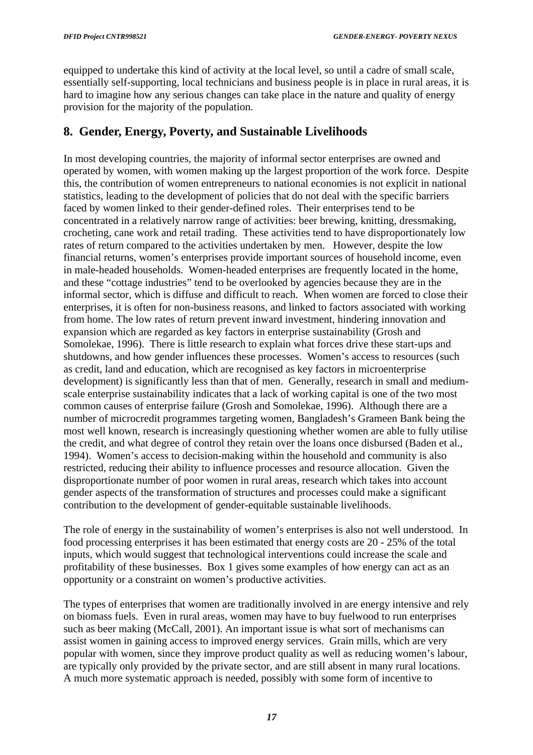<span id="page-17-0"></span>equipped to undertake this kind of activity at the local level, so until a cadre of small scale, essentially self-supporting, local technicians and business people is in place in rural areas, it is hard to imagine how any serious changes can take place in the nature and quality of energy provision for the majority of the population.

## **8. Gender, Energy, Poverty, and Sustainable Livelihoods**

In most developing countries, the majority of informal sector enterprises are owned and operated by women, with women making up the largest proportion of the work force. Despite this, the contribution of women entrepreneurs to national economies is not explicit in national statistics, leading to the development of policies that do not deal with the specific barriers faced by women linked to their gender-defined roles. Their enterprises tend to be concentrated in a relatively narrow range of activities: beer brewing, knitting, dressmaking, crocheting, cane work and retail trading. These activities tend to have disproportionately low rates of return compared to the activities undertaken by men. However, despite the low financial returns, women's enterprises provide important sources of household income, even in male-headed households. Women-headed enterprises are frequently located in the home, and these "cottage industries" tend to be overlooked by agencies because they are in the informal sector, which is diffuse and difficult to reach. When women are forced to close their enterprises, it is often for non-business reasons, and linked to factors associated with working from home. The low rates of return prevent inward investment, hindering innovation and expansion which are regarded as key factors in enterprise sustainability (Grosh and Somolekae, 1996). There is little research to explain what forces drive these start-ups and shutdowns, and how gender influences these processes. Women's access to resources (such as credit, land and education, which are recognised as key factors in microenterprise development) is significantly less than that of men. Generally, research in small and mediumscale enterprise sustainability indicates that a lack of working capital is one of the two most common causes of enterprise failure (Grosh and Somolekae, 1996). Although there are a number of microcredit programmes targeting women, Bangladesh's Grameen Bank being the most well known, research is increasingly questioning whether women are able to fully utilise the credit, and what degree of control they retain over the loans once disbursed (Baden et al., 1994). Women's access to decision-making within the household and community is also restricted, reducing their ability to influence processes and resource allocation. Given the disproportionate number of poor women in rural areas, research which takes into account gender aspects of the transformation of structures and processes could make a significant contribution to the development of gender-equitable sustainable livelihoods.

The role of energy in the sustainability of women's enterprises is also not well understood. In food processing enterprises it has been estimated that energy costs are 20 - 25% of the total inputs, which would suggest that technological interventions could increase the scale and profitability of these businesses. Box 1 gives some examples of how energy can act as an opportunity or a constraint on women's productive activities.

The types of enterprises that women are traditionally involved in are energy intensive and rely on biomass fuels. Even in rural areas, women may have to buy fuelwood to run enterprises such as beer making (McCall, 2001). An important issue is what sort of mechanisms can assist women in gaining access to improved energy services. Grain mills, which are very popular with women, since they improve product quality as well as reducing women's labour, are typically only provided by the private sector, and are still absent in many rural locations. A much more systematic approach is needed, possibly with some form of incentive to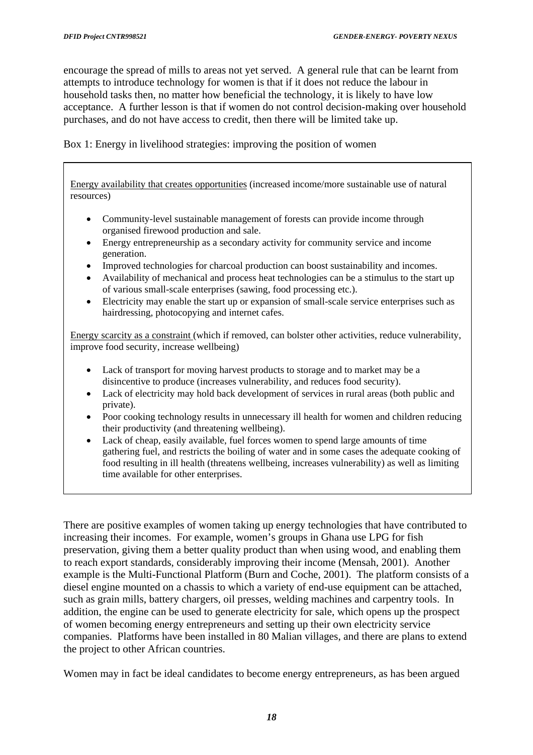encourage the spread of mills to areas not yet served. A general rule that can be learnt from attempts to introduce technology for women is that if it does not reduce the labour in household tasks then, no matter how beneficial the technology, it is likely to have low acceptance. A further lesson is that if women do not control decision-making over household purchases, and do not have access to credit, then there will be limited take up.

Box 1: Energy in livelihood strategies: improving the position of women

Energy availability that creates opportunities (increased income/more sustainable use of natural resources)

- Community-level sustainable management of forests can provide income through organised firewood production and sale.
- Energy entrepreneurship as a secondary activity for community service and income generation.
- Improved technologies for charcoal production can boost sustainability and incomes.
- of various small-scale enterprises (sawing, food processing etc.). • Availability of mechanical and process heat technologies can be a stimulus to the start up
- Electricity may enable the start up or expansion of small-scale service enterprises such as hairdressing, photocopying and internet cafes.

Energy scarcity as a constraint (which if removed, can bolster other activities, reduce vulnerability, improve food security, increase wellbeing)

- Lack of transport for moving harvest products to storage and to market may be a disincentive to produce (increases vulnerability, and reduces food security).
- Lack of electricity may hold back development of services in rural areas (both public and private).
- Poor cooking technology results in unnecessary ill health for women and children reducing their productivity (and threatening wellbeing).
- Lack of cheap, easily available, fuel forces women to spend large amounts of time gathering fuel, and restricts the boiling of water and in some cases the adequate cooking of food resulting in ill health (threatens wellbeing, increases vulnerability) as well as limiting time available for other enterprises.

There are positive examples of women taking up energy technologies that have contributed to increasing their incomes. For example, women's groups in Ghana use LPG for fish preservation, giving them a better quality product than when using wood, and enabling them to reach export standards, considerably improving their income (Mensah, 2001). Another example is the Multi-Functional Platform (Burn and Coche, 2001). The platform consists of a diesel engine mounted on a chassis to which a variety of end-use equipment can be attached, such as grain mills, battery chargers, oil presses, welding machines and carpentry tools. In addition, the engine can be used to generate electricity for sale, which opens up the prospect of women becoming energy entrepreneurs and setting up their own electricity service companies. Platforms have been installed in 80 Malian villages, and there are plans to extend the project to other African countries.

Women may in fact be ideal candidates to become energy entrepreneurs, as has been argued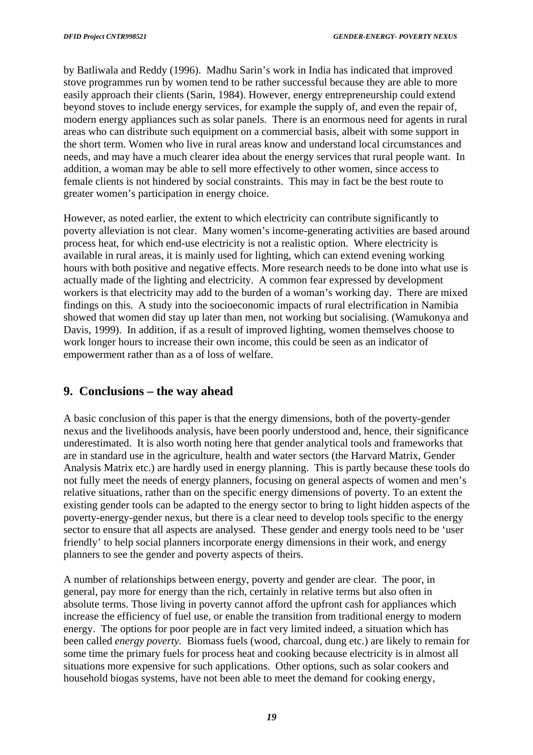<span id="page-19-0"></span>by Batliwala and Reddy (1996). Madhu Sarin's work in India has indicated that improved stove programmes run by women tend to be rather successful because they are able to more easily approach their clients (Sarin, 1984). However, energy entrepreneurship could extend beyond stoves to include energy services, for example the supply of, and even the repair of, modern energy appliances such as solar panels. There is an enormous need for agents in rural areas who can distribute such equipment on a commercial basis, albeit with some support in the short term. Women who live in rural areas know and understand local circumstances and needs, and may have a much clearer idea about the energy services that rural people want. In addition, a woman may be able to sell more effectively to other women, since access to female clients is not hindered by social constraints. This may in fact be the best route to greater women's participation in energy choice.

However, as noted earlier, the extent to which electricity can contribute significantly to poverty alleviation is not clear. Many women's income-generating activities are based around process heat, for which end-use electricity is not a realistic option. Where electricity is available in rural areas, it is mainly used for lighting, which can extend evening working hours with both positive and negative effects. More research needs to be done into what use is actually made of the lighting and electricity. A common fear expressed by development workers is that electricity may add to the burden of a woman's working day. There are mixed findings on this. A study into the socioeconomic impacts of rural electrification in Namibia showed that women did stay up later than men, not working but socialising. (Wamukonya and Davis, 1999). In addition, if as a result of improved lighting, women themselves choose to work longer hours to increase their own income, this could be seen as an indicator of empowerment rather than as a of loss of welfare.

# **9. Conclusions – the way ahead**

A basic conclusion of this paper is that the energy dimensions, both of the poverty-gender nexus and the livelihoods analysis, have been poorly understood and, hence, their significance underestimated. It is also worth noting here that gender analytical tools and frameworks that are in standard use in the agriculture, health and water sectors (the Harvard Matrix, Gender Analysis Matrix etc.) are hardly used in energy planning. This is partly because these tools do not fully meet the needs of energy planners, focusing on general aspects of women and men's relative situations, rather than on the specific energy dimensions of poverty. To an extent the existing gender tools can be adapted to the energy sector to bring to light hidden aspects of the poverty-energy-gender nexus, but there is a clear need to develop tools specific to the energy sector to ensure that all aspects are analysed. These gender and energy tools need to be 'user friendly' to help social planners incorporate energy dimensions in their work, and energy planners to see the gender and poverty aspects of theirs.

A number of relationships between energy, poverty and gender are clear. The poor, in general, pay more for energy than the rich, certainly in relative terms but also often in absolute terms. Those living in poverty cannot afford the upfront cash for appliances which increase the efficiency of fuel use, or enable the transition from traditional energy to modern energy. The options for poor people are in fact very limited indeed, a situation which has been called *energy poverty.* Biomass fuels (wood, charcoal, dung etc.) are likely to remain for some time the primary fuels for process heat and cooking because electricity is in almost all situations more expensive for such applications. Other options, such as solar cookers and household biogas systems, have not been able to meet the demand for cooking energy,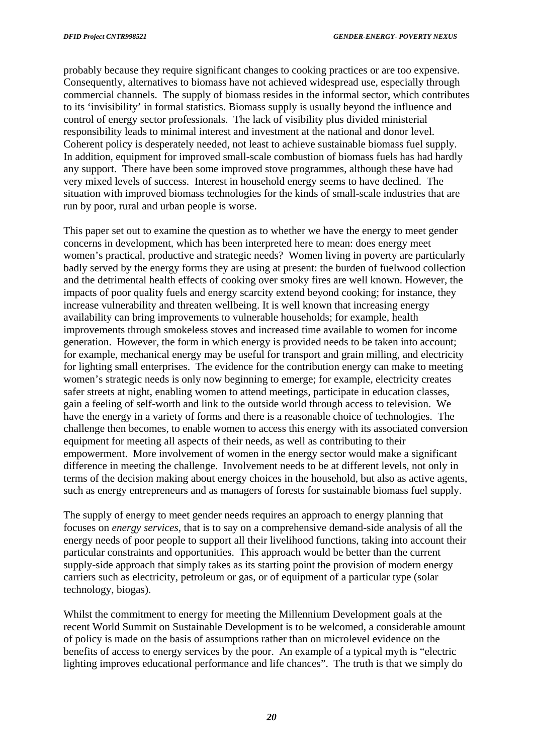probably because they require significant changes to cooking practices or are too expensive. Consequently, alternatives to biomass have not achieved widespread use, especially through commercial channels. The supply of biomass resides in the informal sector, which contributes to its 'invisibility' in formal statistics. Biomass supply is usually beyond the influence and control of energy sector professionals. The lack of visibility plus divided ministerial responsibility leads to minimal interest and investment at the national and donor level. Coherent policy is desperately needed, not least to achieve sustainable biomass fuel supply. In addition, equipment for improved small-scale combustion of biomass fuels has had hardly any support. There have been some improved stove programmes, although these have had very mixed levels of success. Interest in household energy seems to have declined. The situation with improved biomass technologies for the kinds of small-scale industries that are run by poor, rural and urban people is worse.

This paper set out to examine the question as to whether we have the energy to meet gender concerns in development, which has been interpreted here to mean: does energy meet women's practical, productive and strategic needs? Women living in poverty are particularly badly served by the energy forms they are using at present: the burden of fuelwood collection and the detrimental health effects of cooking over smoky fires are well known. However, the impacts of poor quality fuels and energy scarcity extend beyond cooking; for instance, they increase vulnerability and threaten wellbeing. It is well known that increasing energy availability can bring improvements to vulnerable households; for example, health improvements through smokeless stoves and increased time available to women for income generation. However, the form in which energy is provided needs to be taken into account; for example, mechanical energy may be useful for transport and grain milling, and electricity for lighting small enterprises. The evidence for the contribution energy can make to meeting women's strategic needs is only now beginning to emerge; for example, electricity creates safer streets at night, enabling women to attend meetings, participate in education classes, gain a feeling of self-worth and link to the outside world through access to television. We have the energy in a variety of forms and there is a reasonable choice of technologies. The challenge then becomes, to enable women to access this energy with its associated conversion equipment for meeting all aspects of their needs, as well as contributing to their empowerment. More involvement of women in the energy sector would make a significant difference in meeting the challenge. Involvement needs to be at different levels, not only in terms of the decision making about energy choices in the household, but also as active agents, such as energy entrepreneurs and as managers of forests for sustainable biomass fuel supply.

The supply of energy to meet gender needs requires an approach to energy planning that focuses on *energy services*, that is to say on a comprehensive demand-side analysis of all the energy needs of poor people to support all their livelihood functions, taking into account their particular constraints and opportunities. This approach would be better than the current supply-side approach that simply takes as its starting point the provision of modern energy carriers such as electricity, petroleum or gas, or of equipment of a particular type (solar technology, biogas).

Whilst the commitment to energy for meeting the Millennium Development goals at the recent World Summit on Sustainable Development is to be welcomed, a considerable amount of policy is made on the basis of assumptions rather than on microlevel evidence on the benefits of access to energy services by the poor. An example of a typical myth is "electric lighting improves educational performance and life chances". The truth is that we simply do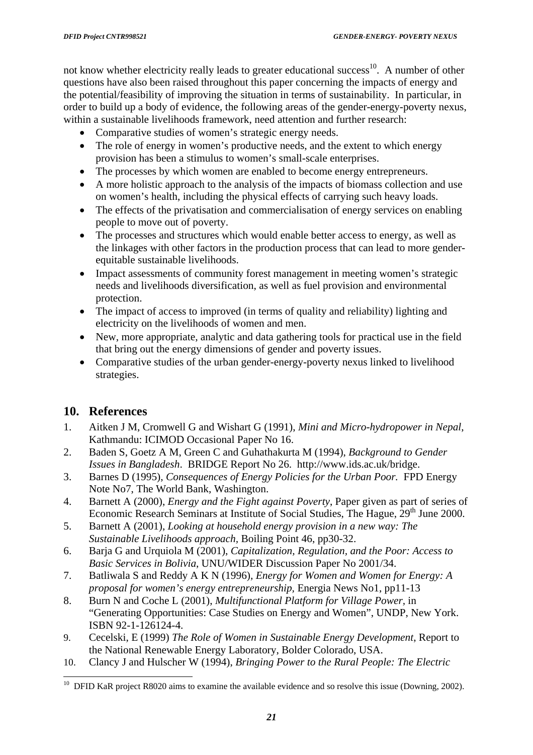<span id="page-21-0"></span>not know whether electricity really leads to greater educational success<sup>10</sup>. A number of other questions have also been raised throughout this paper concerning the impacts of energy and the potential/feasibility of improving the situation in terms of sustainability. In particular, in order to build up a body of evidence, the following areas of the gender-energy-poverty nexus, within a sustainable livelihoods framework, need attention and further research:

- Comparative studies of women's strategic energy needs.
- The role of energy in women's productive needs, and the extent to which energy provision has been a stimulus to women's small-scale enterprises.
- The processes by which women are enabled to become energy entrepreneurs.
- A more holistic approach to the analysis of the impacts of biomass collection and use on women's health, including the physical effects of carrying such heavy loads.
- The effects of the privatisation and commercialisation of energy services on enabling people to move out of poverty.
- The processes and structures which would enable better access to energy, as well as the linkages with other factors in the production process that can lead to more genderequitable sustainable livelihoods.
- Impact assessments of community forest management in meeting women's strategic needs and livelihoods diversification, as well as fuel provision and environmental protection.
- The impact of access to improved (in terms of quality and reliability) lighting and electricity on the livelihoods of women and men.
- New, more appropriate, analytic and data gathering tools for practical use in the field that bring out the energy dimensions of gender and poverty issues.
- Comparative studies of the urban gender-energy-poverty nexus linked to livelihood strategies.

# **10. References**

l

- 1. Aitken J M, Cromwell G and Wishart G (1991), *Mini and Micro-hydropower in Nepal*, Kathmandu: ICIMOD Occasional Paper No 16.
- 2. Baden S, Goetz A M, Green C and Guhathakurta M (1994), *Background to Gender Issues in Bangladesh*. BRIDGE Report No 26. http://www.ids.ac.uk/bridge.
- 3. Barnes D (1995), *Consequences of Energy Policies for the Urban Poor.* FPD Energy Note No7, The World Bank, Washington.
- 4. Barnett A (2000), *Energy and the Fight against Poverty*, Paper given as part of series of Economic Research Seminars at Institute of Social Studies, The Hague, 29<sup>th</sup> June 2000.
- 5. Barnett A (2001), *Looking at household energy provision in a new way: The Sustainable Livelihoods approach,* Boiling Point 46, pp30-32.
- 6. Barja G and Urquiola M (2001), *Capitalization, Regulation, and the Poor: Access to Basic Services in Bolivia*, UNU/WIDER Discussion Paper No 2001/34.
- 7. Batliwala S and Reddy A K N (1996)*, Energy for Women and Women for Energy: A proposal for women's energy entrepreneurship,* Energia News No1, pp11-13
- 8. Burn N and Coche L (2001), *Multifunctional Platform for Village Power,* in "Generating Opportunities: Case Studies on Energy and Women", UNDP, New York. ISBN 92-1-126124-4.
- 9. Cecelski, E (1999) *The Role of Women in Sustainable Energy Development*, Report to the National Renewable Energy Laboratory, Bolder Colorado, USA.
- 10. Clancy J and Hulscher W (1994), *Bringing Power to the Rural People: The Electric*

<span id="page-21-1"></span> $10$  DFID KaR project R8020 aims to examine the available evidence and so resolve this issue (Downing, 2002).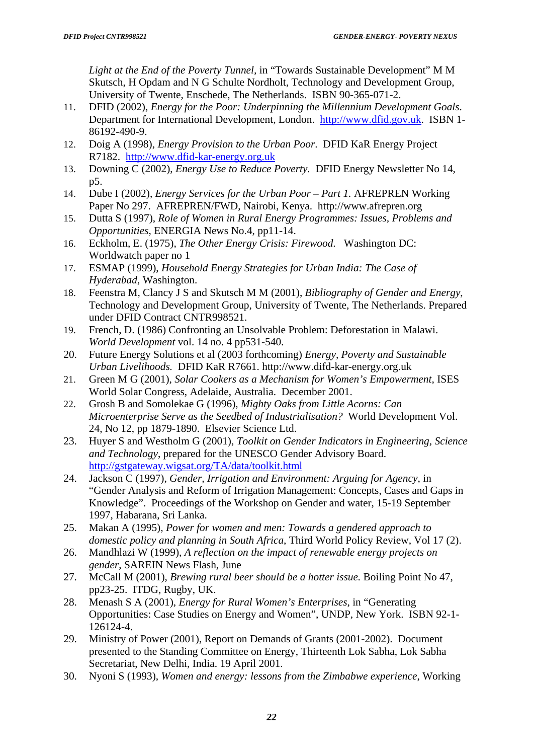*Light at the End of the Poverty Tunnel,* in "Towards Sustainable Development" M M Skutsch, H Opdam and N G Schulte Nordholt, Technology and Development Group, University of Twente, Enschede, The Netherlands. ISBN 90-365-071-2.

- 11. DFID (2002), *Energy for the Poor: Underpinning the Millennium Development Goals*. Department for International Development, London. [http://www.dfid.gov.uk](http://www.dfid.gov.uk/). ISBN 1- 86192-490-9.
- 12. Doig A (1998), *Energy Provision to the Urban Poor*. DFID KaR Energy Project R7182. [http://www.dfid-kar-energy.org.uk](http://www.dfid-kar-energy.org.uk/)
- 13. Downing C (2002), *Energy Use to Reduce Poverty.* DFID Energy Newsletter No 14, p5.
- 14. Dube I (2002), *Energy Services for the Urban Poor Part 1.* AFREPREN Working Paper No 297. AFREPREN/FWD, Nairobi, Kenya. http://www.afrepren.org
- 15. Dutta S (1997), *Role of Women in Rural Energy Programmes: Issues, Problems and Opportunities*, ENERGIA News No.4, pp11-14.
- 16. Eckholm, E. (1975), *The Other Energy Crisis: Firewood*. Washington DC: Worldwatch paper no 1
- 17. ESMAP (1999), *Household Energy Strategies for Urban India: The Case of Hyderabad*, Washington.
- 18. Feenstra M, Clancy J S and Skutsch M M (2001), *Bibliography of Gender and Energy*, Technology and Development Group, University of Twente, The Netherlands. Prepared under DFID Contract CNTR998521.
- 19. French, D. (1986) Confronting an Unsolvable Problem: Deforestation in Malawi. *World Development* vol. 14 no. 4 pp531-540.
- 20. Future Energy Solutions et al (2003 forthcoming) *Energy, Poverty and Sustainable Urban Livelihoods.* DFID KaR R7661. http://www.difd-kar-energy.org.uk
- 21. Green M G (2001), *Solar Cookers as a Mechanism for Women's Empowerment*, ISES World Solar Congress, Adelaide, Australia. December 2001.
- 22. Grosh B and Somolekae G (1996), *Mighty Oaks from Little Acorns: Can Microenterprise Serve as the Seedbed of Industrialisation?* World Development Vol. 24, No 12, pp 1879-1890. Elsevier Science Ltd.
- 23. Huyer S and Westholm G (2001), *Toolkit on Gender Indicators in Engineering, Science and Technology*, prepared for the UNESCO Gender Advisory Board. <http://gstgateway.wigsat.org/TA/data/toolkit.html>
- 24. Jackson C (1997), *Gender, Irrigation and Environment: Arguing for Agency*, in "Gender Analysis and Reform of Irrigation Management: Concepts, Cases and Gaps in Knowledge". Proceedings of the Workshop on Gender and water, 15-19 September 1997, Habarana, Sri Lanka.
- 25. Makan A (1995), *Power for women and men: Towards a gendered approach to domestic policy and planning in South Africa*, Third World Policy Review, Vol 17 (2).
- 26. Mandhlazi W (1999), *A reflection on the impact of renewable energy projects on gender*, SAREIN News Flash, June
- 27. McCall M (2001), *Brewing rural beer should be a hotter issue.* Boiling Point No 47, pp23-25. ITDG, Rugby, UK.
- 28. Menash S A (2001), *Energy for Rural Women's Enterprises*, in "Generating Opportunities: Case Studies on Energy and Women", UNDP, New York. ISBN 92-1- 126124-4.
- 29. Ministry of Power (2001), Report on Demands of Grants (2001-2002). Document presented to the Standing Committee on Energy, Thirteenth Lok Sabha, Lok Sabha Secretariat, New Delhi, India. 19 April 2001.
- 30. Nyoni S (1993), *Women and energy: lessons from the Zimbabwe experience*, Working